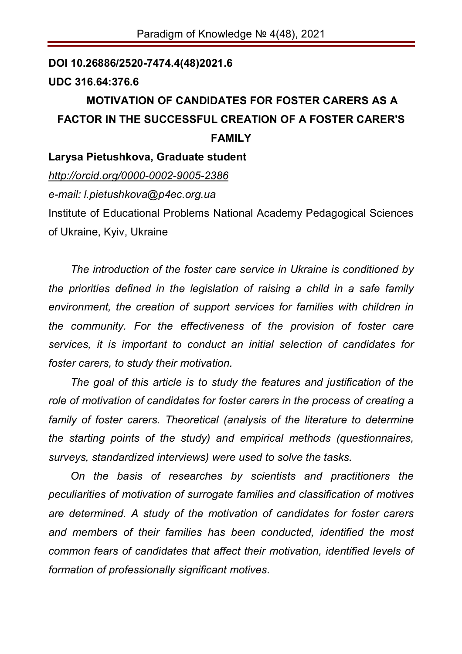## **DOI 10.26886/2520-7474.4(48)2021.6 UDC 316.64:376.6 MOTIVATION OF CANDIDATES FOR FOSTER CARERS AS A FACTOR IN THE SUCCESSFUL CREATION OF A FOSTER CARER'S FAMILY Larysa Pietushkova, Graduate student** *http://orcid.org/0000-0002-9005-2386 e-mail: l.pietushkova@p4ec.org.ua*

Institute of Educational Problems National Academy Pedagogical Sciences of Ukraine, Kyiv, Ukraine

*The introduction of the foster care service in Ukraine is conditioned by the priorities defined in the legislation of raising a child in a safe family environment, the creation of support services for families with children in the community. For the effectiveness of the provision of foster care services, it is important to conduct an initial selection of candidates for foster carers, to study their motivation.*

*The goal of this article is to study the features and justification of the role of motivation of candidates for foster carers in the process of creating a family of foster carers. Theoretical (analysis of the literature to determine the starting points of the study) and empirical methods (questionnaires, surveys, standardized interviews) were used to solve the tasks.*

*On the basis of researches by scientists and practitioners the peculiarities of motivation of surrogate families and classification of motives are determined. A study of the motivation of candidates for foster carers and members of their families has been conducted, identified the most common fears of candidates that affect their motivation, identified levels of formation of professionally significant motives.*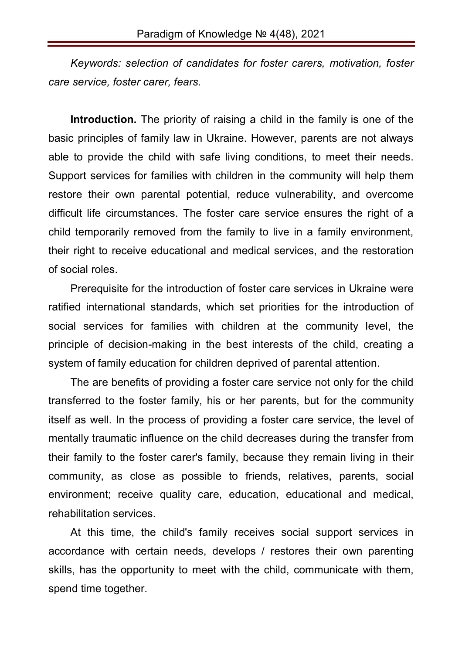*Keywords: selection of candidates for foster carers, motivation, foster care service, foster carer, fears.* 

**Introduction.** The priority of raising a child in the family is one of the basic principles of family law in Ukraine. However, parents are not always able to provide the child with safe living conditions, to meet their needs. Support services for families with children in the community will help them restore their own parental potential, reduce vulnerability, and overcome difficult life circumstances. The foster care service ensures the right of a child temporarily removed from the family to live in a family environment, their right to receive educational and medical services, and the restoration of social roles.

Prerequisite for the introduction of foster care services in Ukraine were ratified international standards, which set priorities for the introduction of social services for families with children at the community level, the principle of decision-making in the best interests of the child, creating a system of family education for children deprived of parental attention.

The are benefits of providing a foster care service not only for the child transferred to the foster family, his or her parents, but for the community itself as well. In the process of providing a foster care service, the level of mentally traumatic influence on the child decreases during the transfer from their family to the foster carer's family, because they remain living in their community, as close as possible to friends, relatives, parents, social environment; receive quality care, education, educational and medical, rehabilitation services.

At this time, the child's family receives social support services in accordance with certain needs, develops / restores their own parenting skills, has the opportunity to meet with the child, communicate with them, spend time together.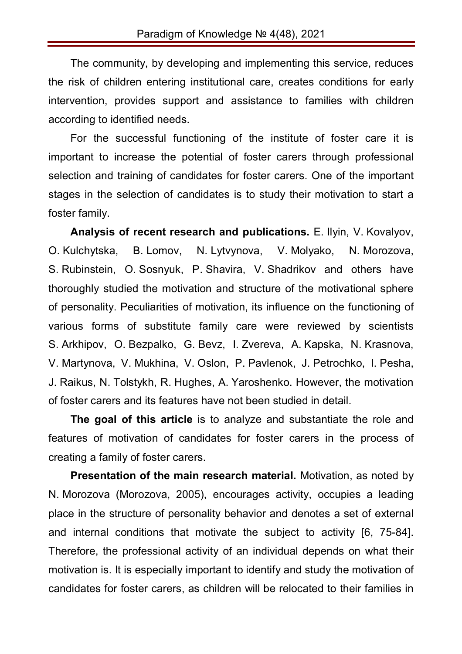The community, by developing and implementing this service, reduces the risk of children entering institutional care, creates conditions for early intervention, provides support and assistance to families with children according to identified needs.

For the successful functioning of the institute of foster care it is important to increase the potential of foster carers through professional selection and training of candidates for foster carers. One of the important stages in the selection of candidates is to study their motivation to start a foster family.

**Analysis of recent research and publications.** E. Ilyin, V. Kovalyov, O. Kulchytska, B. Lomov, N. Lytvynova, V. Molyako, N. Morozova, S. Rubinstein, O. Sosnyuk, P. Shavira, V. Shadrikov and others have thoroughly studied the motivation and structure of the motivational sphere of personality. Peculiarities of motivation, its influence on the functioning of various forms of substitute family care were reviewed by scientists S. Arkhipov, O. Bezpalko, G. Bevz, I. Zvereva, A. Kapska, N. Krasnova, V. Martynova, V. Mukhina, V. Oslon, P. Pavlenok, J. Petrochko, I. Pesha, J. Raikus, N. Tolstykh, R. Hughes, A. Yaroshenko. However, the motivation of foster carers and its features have not been studied in detail.

**The goal of this article** is to analyze and substantiate the role and features of motivation of candidates for foster carers in the process of creating a family of foster carers.

**Presentation of the main research material.** Motivation, as noted by N. Morozova (Morozova, 2005), encourages activity, occupies a leading place in the structure of personality behavior and denotes a set of external and internal conditions that motivate the subject to activity [6, 75-84]. Therefore, the professional activity of an individual depends on what their motivation is. It is especially important to identify and study the motivation of candidates for foster carers, as children will be relocated to their families in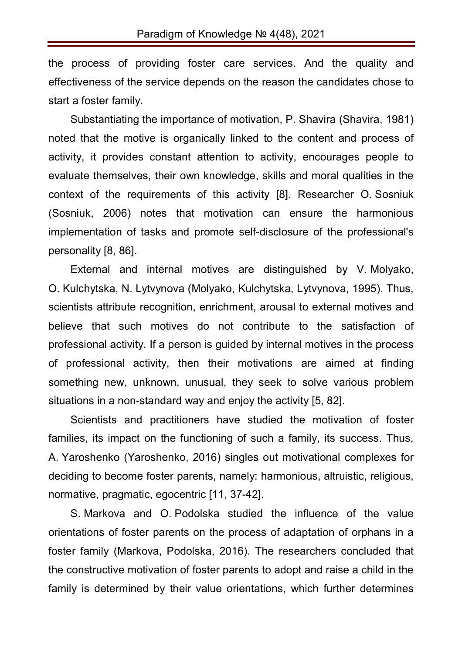the process of providing foster care services. And the quality and effectiveness of the service depends on the reason the candidates chose to start a foster family.

Substantiating the importance of motivation, P. Shavira (Shavira, 1981) noted that the motive is organically linked to the content and process of activity, it provides constant attention to activity, encourages people to evaluate themselves, their own knowledge, skills and moral qualities in the context of the requirements of this activity [8]. Researcher O. Sosniuk (Sosniuk, 2006) notes that motivation can ensure the harmonious implementation of tasks and promote self-disclosure of the professional's personality [8, 86].

External and internal motives are distinguished by V. Molyako, O. Kulchytska, N. Lytvynova (Molyako, Kulchytska, Lytvynova, 1995). Thus, scientists attribute recognition, enrichment, arousal to external motives and believe that such motives do not contribute to the satisfaction of professional activity. If a person is guided by internal motives in the process of professional activity, then their motivations are aimed at finding something new, unknown, unusual, they seek to solve various problem situations in a non-standard way and enjoy the activity [5, 82].

Scientists and practitioners have studied the motivation of foster families, its impact on the functioning of such a family, its success. Thus, A. Yaroshenko (Yaroshenko, 2016) singles out motivational complexes for deciding to become foster parents, namely: harmonious, altruistic, religious, normative, pragmatic, egocentric [11, 37-42].

S. Markova and O. Podolska studied the influence of the value orientations of foster parents on the process of adaptation of orphans in a foster family (Markova, Podolska, 2016). The researchers concluded that the constructive motivation of foster parents to adopt and raise a child in the family is determined by their value orientations, which further determines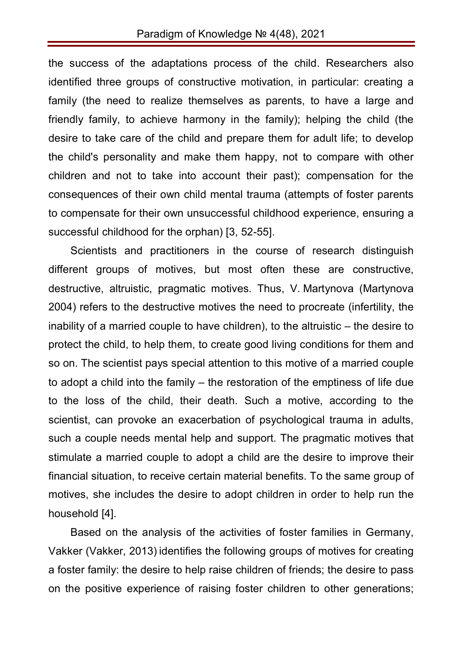the success of the adaptations process of the child. Researchers also identified three groups of constructive motivation, in particular: creating a family (the need to realize themselves as parents, to have a large and friendly family, to achieve harmony in the family); helping the child (the desire to take care of the child and prepare them for adult life; to develop the child's personality and make them happy, not to compare with other children and not to take into account their past); compensation for the consequences of their own child mental trauma (attempts of foster parents to compensate for their own unsuccessful childhood experience, ensuring a successful childhood for the orphan) [3, 52-55].

Scientists and practitioners in the course of research distinguish different groups of motives, but most often these are constructive, destructive, altruistic, pragmatic motives. Thus, V. Martynova (Martynova 2004) refers to the destructive motives the need to procreate (infertility, the inability of a married couple to have children), to the altruistic – the desire to protect the child, to help them, to create good living conditions for them and so on. The scientist pays special attention to this motive of a married couple to adopt a child into the family – the restoration of the emptiness of life due to the loss of the child, their death. Such a motive, according to the scientist, can provoke an exacerbation of psychological trauma in adults, such a couple needs mental help and support. The pragmatic motives that stimulate a married couple to adopt a child are the desire to improve their financial situation, to receive certain material benefits. To the same group of motives, she includes the desire to adopt children in order to help run the household [4].

Based on the analysis of the activities of foster families in Germany, Vakker (Vakker, 2013) identifies the following groups of motives for creating a foster family: the desire to help raise children of friends; the desire to pass on the positive experience of raising foster children to other generations;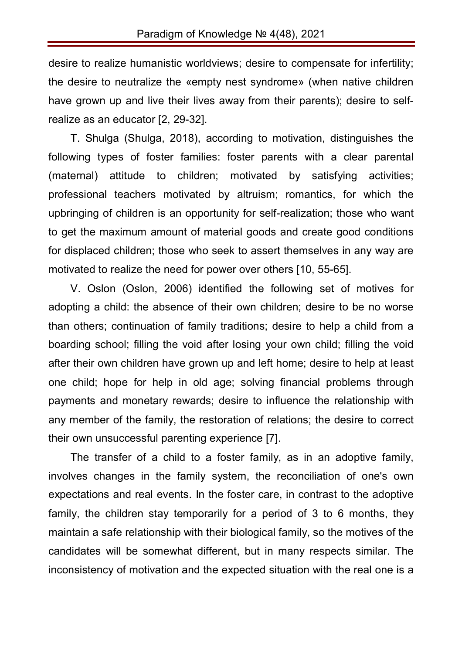desire to realize humanistic worldviews; desire to compensate for infertility; the desire to neutralize the «empty nest syndrome» (when native children have grown up and live their lives away from their parents); desire to selfrealize as an educator [2, 29-32].

T. Shulga (Shulga, 2018), according to motivation, distinguishes the following types of foster families: foster parents with a clear parental (maternal) attitude to children; motivated by satisfying activities; professional teachers motivated by altruism; romantics, for which the upbringing of children is an opportunity for self-realization; those who want to get the maximum amount of material goods and create good conditions for displaced children; those who seek to assert themselves in any way are motivated to realize the need for power over others [10, 55-65].

V. Oslon (Oslon, 2006) identified the following set of motives for adopting a child: the absence of their own children; desire to be no worse than others; continuation of family traditions; desire to help a child from a boarding school; filling the void after losing your own child; filling the void after their own children have grown up and left home; desire to help at least one child; hope for help in old age; solving financial problems through payments and monetary rewards; desire to influence the relationship with any member of the family, the restoration of relations; the desire to correct their own unsuccessful parenting experience [7].

The transfer of a child to a foster family, as in an adoptive family, involves changes in the family system, the reconciliation of one's own expectations and real events. In the foster care, in contrast to the adoptive family, the children stay temporarily for a period of 3 to 6 months, they maintain a safe relationship with their biological family, so the motives of the candidates will be somewhat different, but in many respects similar. The inconsistency of motivation and the expected situation with the real one is a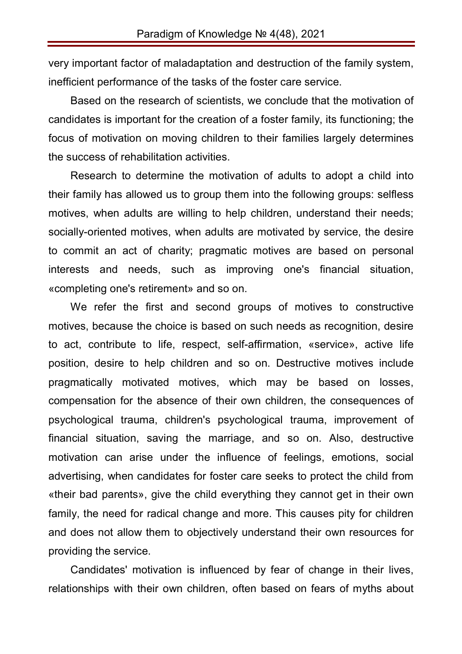very important factor of maladaptation and destruction of the family system, inefficient performance of the tasks of the foster care service.

Based on the research of scientists, we conclude that the motivation of candidates is important for the creation of a foster family, its functioning; the focus of motivation on moving children to their families largely determines the success of rehabilitation activities.

Research to determine the motivation of adults to adopt a child into their family has allowed us to group them into the following groups: selfless motives, when adults are willing to help children, understand their needs; socially-oriented motives, when adults are motivated by service, the desire to commit an act of charity; pragmatic motives are based on personal interests and needs, such as improving one's financial situation, «completing one's retirement» and so on.

We refer the first and second groups of motives to constructive motives, because the choice is based on such needs as recognition, desire to act, contribute to life, respect, self-affirmation, «service», active life position, desire to help children and so on. Destructive motives include pragmatically motivated motives, which may be based on losses, compensation for the absence of their own children, the consequences of psychological trauma, children's psychological trauma, improvement of financial situation, saving the marriage, and so on. Also, destructive motivation can arise under the influence of feelings, emotions, social advertising, when candidates for foster care seeks to protect the child from «their bad parents», give the child everything they cannot get in their own family, the need for radical change and more. This causes pity for children and does not allow them to objectively understand their own resources for providing the service.

Candidates' motivation is influenced by fear of change in their lives, relationships with their own children, often based on fears of myths about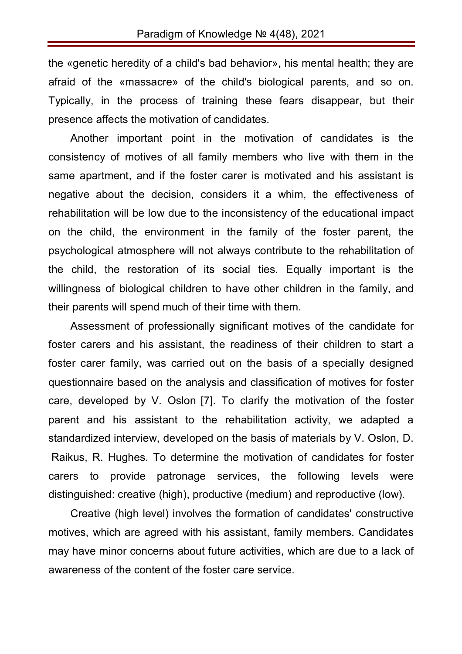the «genetic heredity of a child's bad behavior», his mental health; they are afraid of the «massacre» of the child's biological parents, and so on. Typically, in the process of training these fears disappear, but their presence affects the motivation of candidates.

Another important point in the motivation of candidates is the consistency of motives of all family members who live with them in the same apartment, and if the foster carer is motivated and his assistant is negative about the decision, considers it a whim, the effectiveness of rehabilitation will be low due to the inconsistency of the educational impact on the child, the environment in the family of the foster parent, the psychological atmosphere will not always contribute to the rehabilitation of the child, the restoration of its social ties. Equally important is the willingness of biological children to have other children in the family, and their parents will spend much of their time with them.

Assessment of professionally significant motives of the candidate for foster carers and his assistant, the readiness of their children to start a foster carer family, was carried out on the basis of a specially designed questionnaire based on the analysis and classification of motives for foster care, developed by V. Oslon [7]. To clarify the motivation of the foster parent and his assistant to the rehabilitation activity, we adapted a standardized interview, developed on the basis of materials by V. Oslon, D. Raikus, R. Hughes. To determine the motivation of candidates for foster carers to provide patronage services, the following levels were distinguished: creative (high), productive (medium) and reproductive (low).

Creative (high level) involves the formation of candidates' constructive motives, which are agreed with his assistant, family members. Candidates may have minor concerns about future activities, which are due to a lack of awareness of the content of the foster care service.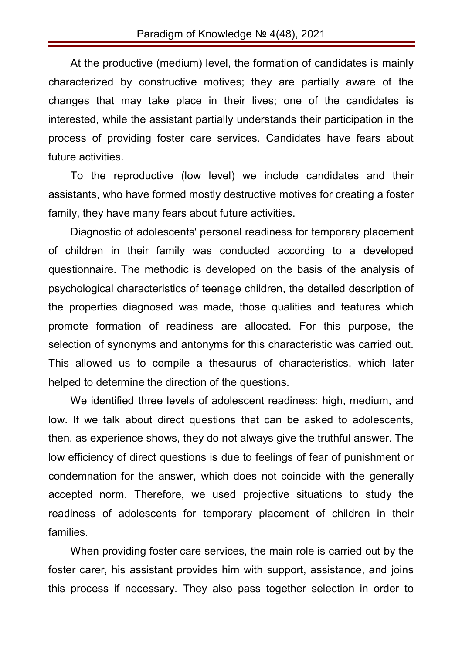At the productive (medium) level, the formation of candidates is mainly characterized by constructive motives; they are partially aware of the changes that may take place in their lives; one of the candidates is interested, while the assistant partially understands their participation in the process of providing foster care services. Candidates have fears about future activities.

To the reproductive (low level) we include candidates and their assistants, who have formed mostly destructive motives for creating a foster family, they have many fears about future activities.

Diagnostic of adolescents' personal readiness for temporary placement of children in their family was conducted according to a developed questionnaire. The methodic is developed on the basis of the analysis of psychological characteristics of teenage children, the detailed description of the properties diagnosed was made, those qualities and features which promote formation of readiness are allocated. For this purpose, the selection of synonyms and antonyms for this characteristic was carried out. This allowed us to compile a thesaurus of characteristics, which later helped to determine the direction of the questions.

We identified three levels of adolescent readiness: high, medium, and low. If we talk about direct questions that can be asked to adolescents, then, as experience shows, they do not always give the truthful answer. The low efficiency of direct questions is due to feelings of fear of punishment or condemnation for the answer, which does not coincide with the generally accepted norm. Therefore, we used projective situations to study the readiness of adolescents for temporary placement of children in their families.

When providing foster care services, the main role is carried out by the foster carer, his assistant provides him with support, assistance, and joins this process if necessary. They also pass together selection in order to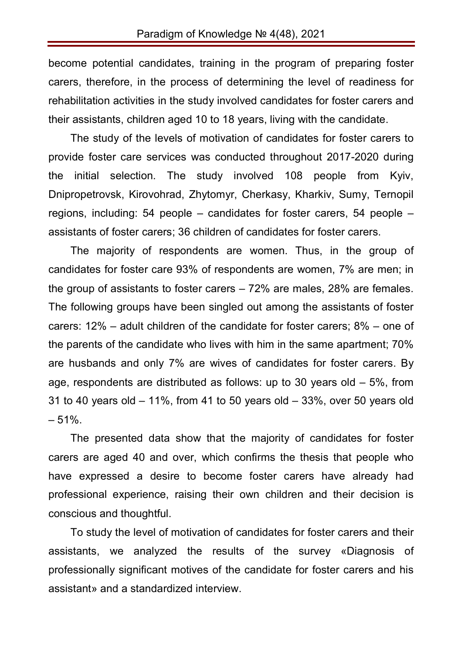become potential candidates, training in the program of preparing foster carers, therefore, in the process of determining the level of readiness for rehabilitation activities in the study involved candidates for foster carers and their assistants, children aged 10 to 18 years, living with the candidate.

The study of the levels of motivation of candidates for foster carers to provide foster care services was conducted throughout 2017-2020 during the initial selection. The study involved 108 people from Kyiv, Dnipropetrovsk, Kirovohrad, Zhytomyr, Cherkasy, Kharkiv, Sumy, Ternopil regions, including: 54 people – candidates for foster carers, 54 people – assistants of foster carers; 36 children of candidates for foster carers.

The majority of respondents are women. Thus, in the group of candidates for foster care 93% of respondents are women, 7% are men; in the group of assistants to foster carers – 72% are males, 28% are females. The following groups have been singled out among the assistants of foster carers: 12% – adult children of the candidate for foster carers; 8% – one of the parents of the candidate who lives with him in the same apartment; 70% are husbands and only 7% are wives of candidates for foster carers. By age, respondents are distributed as follows: up to 30 years old – 5%, from 31 to 40 years old  $-11\%$ , from 41 to 50 years old  $-33\%$ , over 50 years old  $-51%$ .

The presented data show that the majority of candidates for foster carers are aged 40 and over, which confirms the thesis that people who have expressed a desire to become foster carers have already had professional experience, raising their own children and their decision is conscious and thoughtful.

To study the level of motivation of candidates for foster carers and their assistants, we analyzed the results of the survey «Diagnosis of professionally significant motives of the candidate for foster carers and his assistant» and a standardized interview.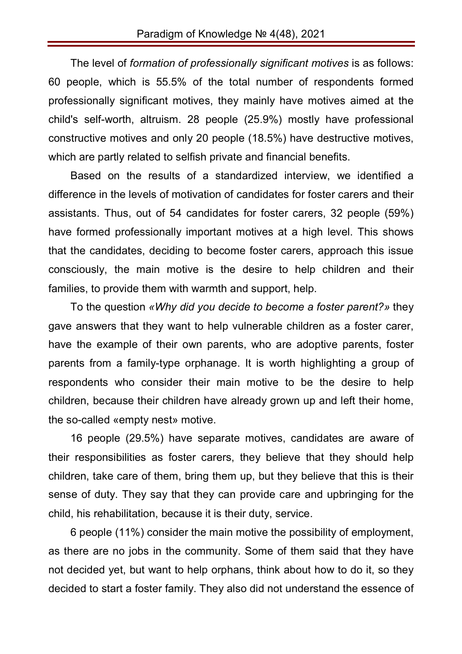The level of *formation of professionally significant motives* is as follows: 60 people, which is 55.5% of the total number of respondents formed professionally significant motives, they mainly have motives aimed at the child's self-worth, altruism. 28 people (25.9%) mostly have professional constructive motives and only 20 people (18.5%) have destructive motives, which are partly related to selfish private and financial benefits.

Based on the results of a standardized interview, we identified a difference in the levels of motivation of candidates for foster carers and their assistants. Thus, out of 54 candidates for foster carers, 32 people (59%) have formed professionally important motives at a high level. This shows that the candidates, deciding to become foster carers, approach this issue consciously, the main motive is the desire to help children and their families, to provide them with warmth and support, help.

To the question *«Why did you decide to become a foster parent?»* they gave answers that they want to help vulnerable children as a foster carer, have the example of their own parents, who are adoptive parents, foster parents from a family-type orphanage. It is worth highlighting a group of respondents who consider their main motive to be the desire to help children, because their children have already grown up and left their home, the so-called «empty nest» motive.

16 people (29.5%) have separate motives, candidates are aware of their responsibilities as foster carers, they believe that they should help children, take care of them, bring them up, but they believe that this is their sense of duty. They say that they can provide care and upbringing for the child, his rehabilitation, because it is their duty, service.

6 people (11%) consider the main motive the possibility of employment, as there are no jobs in the community. Some of them said that they have not decided yet, but want to help orphans, think about how to do it, so they decided to start a foster family. They also did not understand the essence of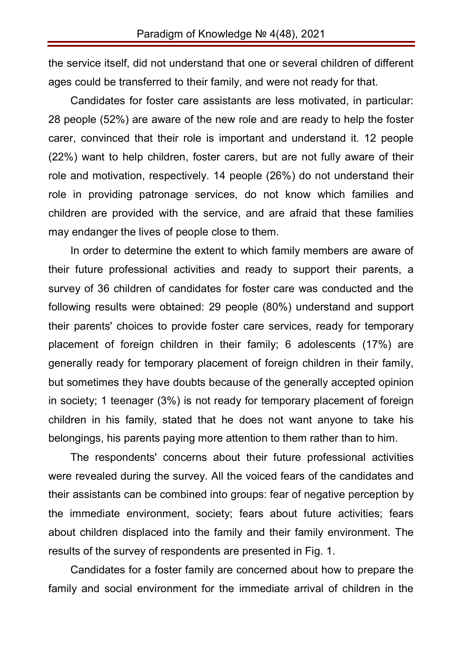the service itself, did not understand that one or several children of different ages could be transferred to their family, and were not ready for that.

Candidates for foster care assistants are less motivated, in particular: 28 people (52%) are aware of the new role and are ready to help the foster carer, convinced that their role is important and understand it. 12 people (22%) want to help children, foster carers, but are not fully aware of their role and motivation, respectively. 14 people (26%) do not understand their role in providing patronage services, do not know which families and children are provided with the service, and are afraid that these families may endanger the lives of people close to them.

In order to determine the extent to which family members are aware of their future professional activities and ready to support their parents, a survey of 36 children of candidates for foster care was conducted and the following results were obtained: 29 people (80%) understand and support their parents' choices to provide foster care services, ready for temporary placement of foreign children in their family; 6 adolescents (17%) are generally ready for temporary placement of foreign children in their family, but sometimes they have doubts because of the generally accepted opinion in society; 1 teenager (3%) is not ready for temporary placement of foreign children in his family, stated that he does not want anyone to take his belongings, his parents paying more attention to them rather than to him.

The respondents' concerns about their future professional activities were revealed during the survey. All the voiced fears of the candidates and their assistants can be combined into groups: fear of negative perception by the immediate environment, society; fears about future activities; fears about children displaced into the family and their family environment. The results of the survey of respondents are presented in Fig. 1.

Candidates for a foster family are concerned about how to prepare the family and social environment for the immediate arrival of children in the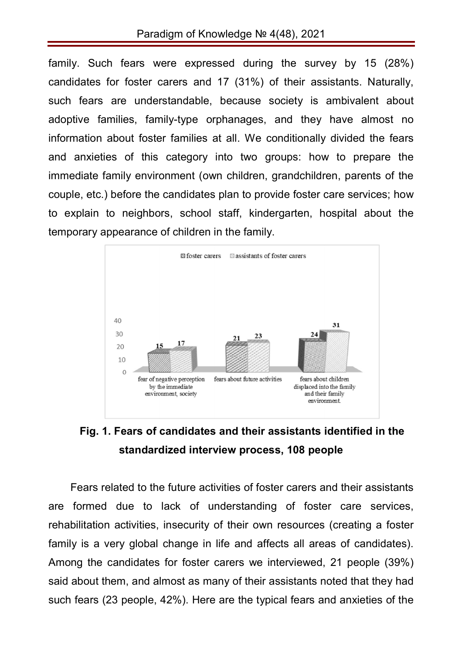family. Such fears were expressed during the survey by 15 (28%) candidates for foster carers and 17 (31%) of their assistants. Naturally, such fears are understandable, because society is ambivalent about adoptive families, family-type orphanages, and they have almost no information about foster families at all. We conditionally divided the fears and anxieties of this category into two groups: how to prepare the immediate family environment (own children, grandchildren, parents of the couple, etc.) before the candidates plan to provide foster care services; how to explain to neighbors, school staff, kindergarten, hospital about the temporary appearance of children in the family.



## **Fig. 1. Fears of candidates and their assistants identified in the standardized interview process, 108 people**

Fears related to the future activities of foster carers and their assistants are formed due to lack of understanding of foster care services, rehabilitation activities, insecurity of their own resources (creating a foster family is a very global change in life and affects all areas of candidates). Among the candidates for foster carers we interviewed, 21 people (39%) said about them, and almost as many of their assistants noted that they had such fears (23 people, 42%). Here are the typical fears and anxieties of the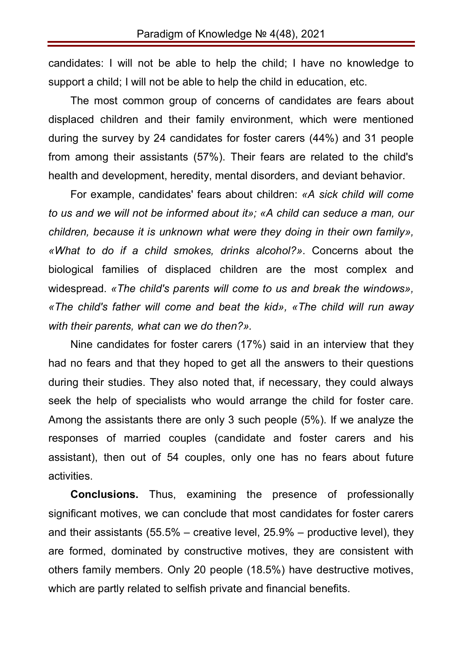candidates: I will not be able to help the child; I have no knowledge to support a child; I will not be able to help the child in education, etc.

The most common group of concerns of candidates are fears about displaced children and their family environment, which were mentioned during the survey by 24 candidates for foster carers (44%) and 31 people from among their assistants (57%). Their fears are related to the child's health and development, heredity, mental disorders, and deviant behavior.

For example, candidates' fears about children: *«A sick child will come to us and we will not be informed about it»; «A child can seduce a man, our children, because it is unknown what were they doing in their own family», «What to do if a child smokes, drinks alcohol?»*. Concerns about the biological families of displaced children are the most complex and widespread. *«The child's parents will come to us and break the windows», «The child's father will come and beat the kid», «The child will run away with their parents, what can we do then?».*

Nine candidates for foster carers (17%) said in an interview that they had no fears and that they hoped to get all the answers to their questions during their studies. They also noted that, if necessary, they could always seek the help of specialists who would arrange the child for foster care. Among the assistants there are only 3 such people (5%). If we analyze the responses of married couples (candidate and foster carers and his assistant), then out of 54 couples, only one has no fears about future activities.

**Conclusions.** Thus, examining the presence of professionally significant motives, we can conclude that most candidates for foster carers and their assistants (55.5% – creative level, 25.9% – productive level), they are formed, dominated by constructive motives, they are consistent with others family members. Only 20 people (18.5%) have destructive motives, which are partly related to selfish private and financial benefits.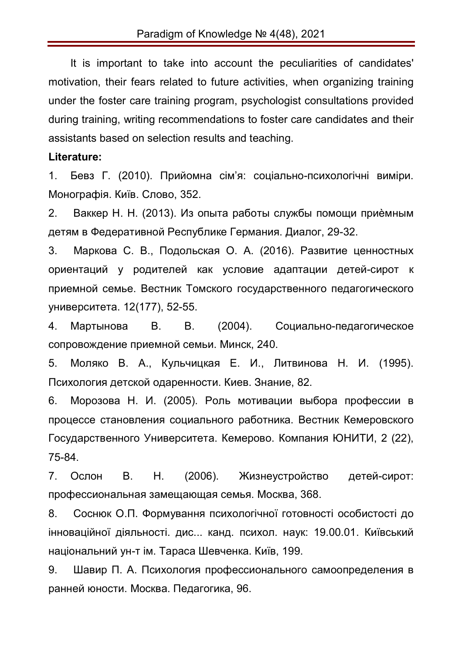It is important to take into account the peculiarities of candidates' motivation, their fears related to future activities, when organizing training under the foster care training program, psychologist consultations provided during training, writing recommendations to foster care candidates and their assistants based on selection results and teaching.

## **Literature:**

1. Бевз Г. (2010). Прийомна сім'я: соціально-психологічні виміри. Монографія. Київ. Слово, 352.

2. Ваккер Н. Н. (2013). Из опыта работы службы помощи приѐмным детям в Федеративной Республике Германия. Диалог, 29-32.

3. Маркова С. В., Подольская О. А. (2016). Развитие ценностных ориентаций у родителей как условие адаптации детей-сирот к приемной семье. Вестник Томского государственного педагогического университета. 12(177), 52-55.

4. Мартынова В. В. (2004). Социально-педагогическое сопровождение приемной семьи. Минск, 240.

5. Моляко В. А., Кульчицкая Е. И., Литвинова Н. И. (1995). Психология детской одаренности. Киев. Знание, 82.

6. Морозова Н. И. (2005). Роль мотивации выбора профессии в процессе становления социального работника. Вестник Кемеровского Государственного Университета. Кемерово. Компания ЮНИТИ, 2 (22), 75-84.

7. Ослон В. Н. (2006). Жизнеустройство детей-сирот: профессиональная замещающая семья. Москва, 368.

8. Соснюк О.П. Формування психологічної готовності особистості до інноваційної діяльності. дис... канд. психол. наук: 19.00.01. Київський національний ун-т ім. Тараса Шевченка. Київ, 199.

9. Шавир П. А. Психология профессионального самоопределения в ранней юности. Москва. Педагогика, 96.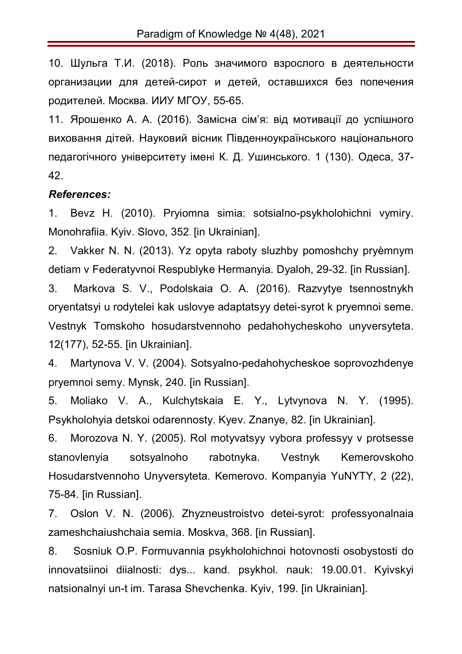10. Шульга Т.И. (2018). Роль значимого взрослого в деятельности организации для детей-сирот и детей, оставшихся без попечения родителей. Москва. ИИУ МГОУ, 55-65.

11. Ярошенко А. А. (2016). Замісна сім'я: від мотивації до успішного виховання дітей. Науковий вісник Південноукраїнського національного педагогічного університету імені К. Д. Ушинського. 1 (130). Одеса, 37- 42.

## *References:*

1. Bevz H. (2010). Pryiomna simia: sotsialno-psykholohichni vymiry. Monohrafiia. Kyiv. Slovo, 352. [in Ukrainian].

2. Vakker N. N. (2013). Yz opyta raboty sluzhby pomoshchy pryѐmnym detiam v Federatyvnoi Respublyke Hermanyia. Dyaloh, 29-32. [in Russian].

3. Markova S. V., Podolskaia O. A. (2016). Razvytye tsennostnykh oryentatsyi u rodytelei kak uslovye adaptatsyy detei-syrot k pryemnoi seme. Vestnyk Tomskoho hosudarstvennoho pedahohycheskoho unyversyteta. 12(177), 52-55. [in Ukrainian].

4. Martynova V. V. (2004). Sotsyalno-pedahohycheskoe soprovozhdenye pryemnoi semy. Mynsk, 240. [in Russian].

5. Moliako V. A., Kulchytskaia E. Y., Lytvynova N. Y. (1995). Psykholohyia detskoi odarennosty. Kyev. Znanye, 82. [in Ukrainian].

6. Morozova N. Y. (2005). Rol motyvatsyy vybora professyy v protsesse stanovlenyia sotsyalnoho rabotnyka. Vestnyk Kemerovskoho Hosudarstvennoho Unyversyteta. Kemerovo. Kompanyia YuNYTY, 2 (22), 75-84. [in Russian].

7. Oslon V. N. (2006). Zhyzneustroistvo detei-syrot: professyonalnaia zameshchaiushchaia semia. Moskva, 368. [in Russian].

8. Sosniuk O.P. Formuvannia psykholohichnoi hotovnosti osobystosti do innovatsiinoi diialnosti: dys... kand. psykhol. nauk: 19.00.01. Kyivskyi natsionalnyi un-t im. Tarasa Shevchenka. Kyiv, 199. [in Ukrainian].